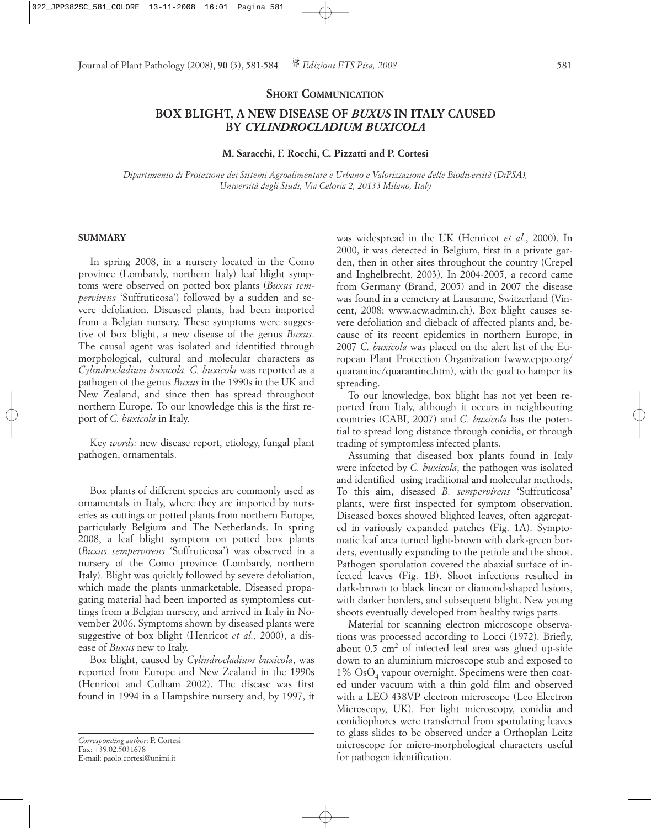## **SHORT COMMUNICATION**

# **BOX BLIGHT, A NEW DISEASE OF** *BUXUS* **IN ITALY CAUSED BY** *CYLINDROCLADIUM BUXICOLA*

# **M. Saracchi, F. Rocchi, C. Pizzatti and P. Cortesi**

*Dipartimento di Protezione dei Sistemi Agroalimentare e Urbano e Valorizzazione delle Biodiversità (DiPSA), Università degli Studi, Via Celoria 2, 20133 Milano, Italy*

#### **SUMMARY**

In spring 2008, in a nursery located in the Como province (Lombardy, northern Italy) leaf blight symptoms were observed on potted box plants (*Buxus sempervirens* 'Suffruticosa') followed by a sudden and severe defoliation. Diseased plants, had been imported from a Belgian nursery. These symptoms were suggestive of box blight, a new disease of the genus *Buxus*. The causal agent was isolated and identified through morphological, cultural and molecular characters as *Cylindrocladium buxicola. C. buxicola* was reported as a pathogen of the genus *Buxus* in the 1990s in the UK and New Zealand, and since then has spread throughout northern Europe. To our knowledge this is the first report of *C. buxicola* in Italy.

Key *words:* new disease report, etiology, fungal plant pathogen, ornamentals.

Box plants of different species are commonly used as ornamentals in Italy, where they are imported by nurseries as cuttings or potted plants from northern Europe, particularly Belgium and The Netherlands. In spring 2008, a leaf blight symptom on potted box plants (*Buxus sempervirens* 'Suffruticosa') was observed in a nursery of the Como province (Lombardy, northern Italy). Blight was quickly followed by severe defoliation, which made the plants unmarketable. Diseased propagating material had been imported as symptomless cuttings from a Belgian nursery, and arrived in Italy in November 2006. Symptoms shown by diseased plants were suggestive of box blight (Henricot *et al.*, 2000), a disease of *Buxus* new to Italy.

Box blight, caused by *Cylindrocladium buxicola*, was reported from Europe and New Zealand in the 1990s (Henricot and Culham 2002). The disease was first found in 1994 in a Hampshire nursery and, by 1997, it was widespread in the UK (Henricot *et al.*, 2000). In 2000, it was detected in Belgium, first in a private garden, then in other sites throughout the country (Crepel and Inghelbrecht, 2003). In 2004-2005, a record came from Germany (Brand, 2005) and in 2007 the disease was found in a cemetery at Lausanne, Switzerland (Vincent, 2008; www.acw.admin.ch). Box blight causes severe defoliation and dieback of affected plants and, because of its recent epidemics in northern Europe, in 2007 *C. buxicola* was placed on the alert list of the European Plant Protection Organization (www.eppo.org/ quarantine/quarantine.htm), with the goal to hamper its spreading.

To our knowledge, box blight has not yet been reported from Italy, although it occurs in neighbouring countries (CABI, 2007) and *C. buxicola* has the potential to spread long distance through conidia, or through trading of symptomless infected plants.

Assuming that diseased box plants found in Italy were infected by *C. buxicola*, the pathogen was isolated and identified using traditional and molecular methods. To this aim, diseased *B. sempervirens* 'Suffruticosa' plants, were first inspected for symptom observation. Diseased boxes showed blighted leaves, often aggregated in variously expanded patches (Fig. 1A). Symptomatic leaf area turned light-brown with dark-green borders, eventually expanding to the petiole and the shoot. Pathogen sporulation covered the abaxial surface of infected leaves (Fig. 1B). Shoot infections resulted in dark-brown to black linear or diamond-shaped lesions, with darker borders, and subsequent blight. New young shoots eventually developed from healthy twigs parts.

Material for scanning electron microscope observations was processed according to Locci (1972). Briefly, about  $0.5 \text{ cm}^2$  of infected leaf area was glued up-side down to an aluminium microscope stub and exposed to  $1\%$  OsO<sub>4</sub> vapour overnight. Specimens were then coated under vacuum with a thin gold film and observed with a LEO 438VP electron microscope (Leo Electron Microscopy, UK). For light microscopy, conidia and conidiophores were transferred from sporulating leaves to glass slides to be observed under a Orthoplan Leitz microscope for micro-morphological characters useful for pathogen identification.

*Corresponding author*: P. Cortesi  $Fax: +39.02.5031678$ E-mail: paolo.cortesi@unimi.it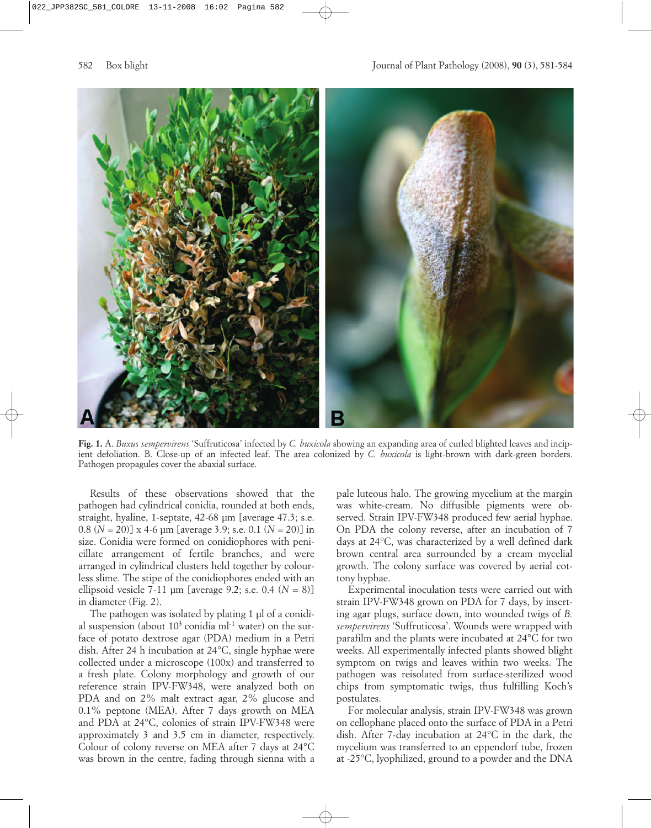

**Fig. 1.** A. *Buxus sempervirens* 'Suffruticosa' infected by *C. buxicola* showing an expanding area of curled blighted leaves and incipient defoliation. B. Close-up of an infected leaf. The area colonized by *C. buxicola* is light-brown with dark-green borders. Pathogen propagules cover the abaxial surface.

Results of these observations showed that the pathogen had cylindrical conidia, rounded at both ends, straight, hyaline, 1-septate, 42-68 µm [average 47.3; s.e. 0.8 (*N* = 20)] x 4-6 µm [average 3.9; s.e. 0.1 (*N* = 20)] in size. Conidia were formed on conidiophores with penicillate arrangement of fertile branches, and were arranged in cylindrical clusters held together by colourless slime. The stipe of the conidiophores ended with an ellipsoid vesicle 7-11  $\mu$ m [average 9.2; s.e. 0.4 ( $N = 8$ )] in diameter (Fig. 2).

The pathogen was isolated by plating 1 µl of a conidial suspension (about  $10<sup>3</sup>$  conidia ml<sup>-1</sup> water) on the surface of potato dextrose agar (PDA) medium in a Petri dish. After 24 h incubation at 24°C, single hyphae were collected under a microscope (100x) and transferred to a fresh plate. Colony morphology and growth of our reference strain IPV-FW348, were analyzed both on PDA and on 2% malt extract agar, 2% glucose and 0.1% peptone (MEA). After 7 days growth on MEA and PDA at 24°C, colonies of strain IPV-FW348 were approximately 3 and 3.5 cm in diameter, respectively. Colour of colony reverse on MEA after 7 days at 24°C was brown in the centre, fading through sienna with a

pale luteous halo. The growing mycelium at the margin was white-cream. No diffusible pigments were observed. Strain IPV-FW348 produced few aerial hyphae. On PDA the colony reverse, after an incubation of 7 days at 24°C, was characterized by a well defined dark brown central area surrounded by a cream mycelial growth. The colony surface was covered by aerial cottony hyphae.

Experimental inoculation tests were carried out with strain IPV-FW348 grown on PDA for 7 days, by inserting agar plugs, surface down, into wounded twigs of *B. sempervirens* 'Suffruticosa'. Wounds were wrapped with parafilm and the plants were incubated at 24°C for two weeks. All experimentally infected plants showed blight symptom on twigs and leaves within two weeks. The pathogen was reisolated from surface-sterilized wood chips from symptomatic twigs, thus fulfilling Koch's postulates.

For molecular analysis, strain IPV-FW348 was grown on cellophane placed onto the surface of PDA in a Petri dish. After 7-day incubation at 24°C in the dark, the mycelium was transferred to an eppendorf tube, frozen at -25°C, lyophilized, ground to a powder and the DNA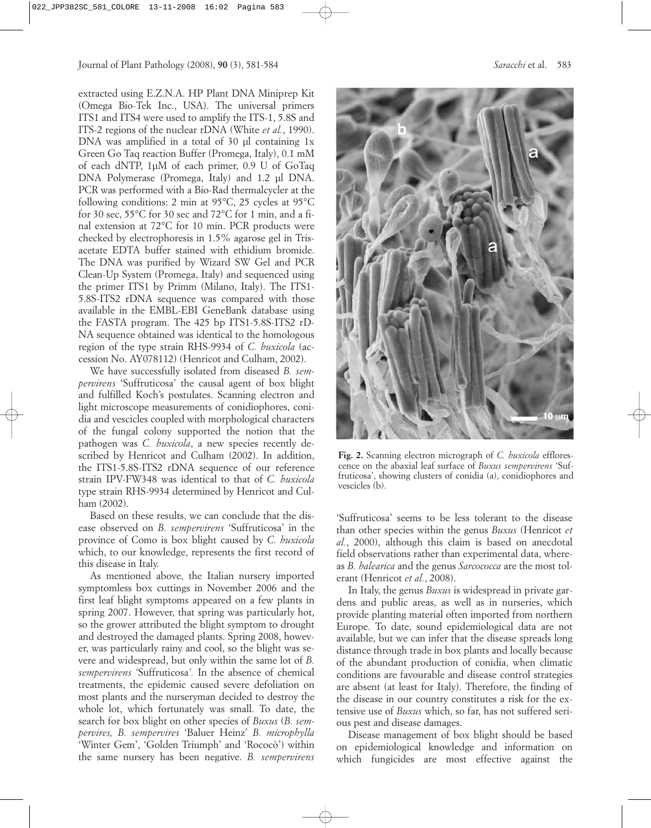extracted using E.Z.N.A. HP Plant DNA Miniprep Kit (Omega Bio-Tek Inc., USA). The universal primers ITS1 and ITS4 were used to amplify the ITS-1, 5.8S and ITS-2 regions of the nuclear rDNA (White *et al.*, 1990). DNA was amplified in a total of 30 µl containing 1x Green Go Taq reaction Buffer (Promega, Italy), 0.1 mM of each dNTP, 1µM of each primer, 0.9 U of GoTaq DNA Polymerase (Promega, Italy) and 1.2 µl DNA. PCR was performed with a Bio-Rad thermalcycler at the following conditions: 2 min at 95°C, 25 cycles at 95°C for 30 sec, 55°C for 30 sec and 72°C for 1 min, and a final extension at 72°C for 10 min. PCR products were checked by electrophoresis in 1.5% agarose gel in Trisacetate EDTA buffer stained with ethidium bromide. The DNA was purified by Wizard SW Gel and PCR Clean-Up System (Promega, Italy) and sequenced using the primer ITS1 by Primm (Milano, Italy). The ITS1- 5.8S-ITS2 rDNA sequence was compared with those available in the EMBL-EBI GeneBank database using the FASTA program. The 425 bp ITS1-5.8S-ITS2 rD-NA sequence obtained was identical to the homologous region of the type strain RHS-9934 of *C. buxicola* (accession No. AY078112) (Henricot and Culham, 2002).

We have successfully isolated from diseased *B. sempervirens* 'Suffruticosa' the causal agent of box blight and fulfilled Koch's postulates. Scanning electron and light microscope measurements of conidiophores, conidia and vescicles coupled with morphological characters of the fungal colony supported the notion that the pathogen was *C. buxicola*, a new species recently described by Henricot and Culham (2002). In addition, the ITS1-5.8S-ITS2 rDNA sequence of our reference strain IPV-FW348 was identical to that of *C. buxicola* type strain RHS-9934 determined by Henricot and Culham (2002).

Based on these results, we can conclude that the disease observed on *B. sempervirens* 'Suffruticosa' in the province of Como is box blight caused by *C. buxicola* which, to our knowledge, represents the first record of this disease in Italy.

As mentioned above, the Italian nursery imported symptomless box cuttings in November 2006 and the first leaf blight symptoms appeared on a few plants in spring 2007. However, that spring was particularly hot, so the grower attributed the blight symptom to drought and destroyed the damaged plants. Spring 2008, however, was particularly rainy and cool, so the blight was severe and widespread, but only within the same lot of *B. sempervirens '*Suffruticosa*'.* In the absence of chemical treatments, the epidemic caused severe defoliation on most plants and the nurseryman decided to destroy the whole lot, which fortunately was small. To date, the search for box blight on other species of *Buxus* (*B. sempervires, B. sempervires* 'Baluer Heinz' *B. microphylla* 'Winter Gem', 'Golden Triumph' and 'Rococò') within the same nursery has been negative. *B. sempervirens*



**Fig. 2.** Scanning electron micrograph of *C. buxicola* efflorescence on the abaxial leaf surface of *Buxus sempervirens* 'Suffruticosa', showing clusters of conidia (a), conidiophores and vescicles (b).

'Suffruticosa' seems to be less tolerant to the disease than other species within the genus *Buxus* (Henricot *et al.*, 2000), although this claim is based on anecdotal field observations rather than experimental data, whereas *B. balearica* and the genus *Sarcococca* are the most tolerant (Henricot *et al.*, 2008).

In Italy, the genus *Buxus* is widespread in private gardens and public areas, as well as in nurseries, which provide planting material often imported from northern Europe. To date, sound epidemiological data are not available, but we can infer that the disease spreads long distance through trade in box plants and locally because of the abundant production of conidia, when climatic conditions are favourable and disease control strategies are absent (at least for Italy). Therefore, the finding of the disease in our country constitutes a risk for the extensive use of *Buxus* which, so far, has not suffered serious pest and disease damages.

Disease management of box blight should be based on epidemiological knowledge and information on which fungicides are most effective against the